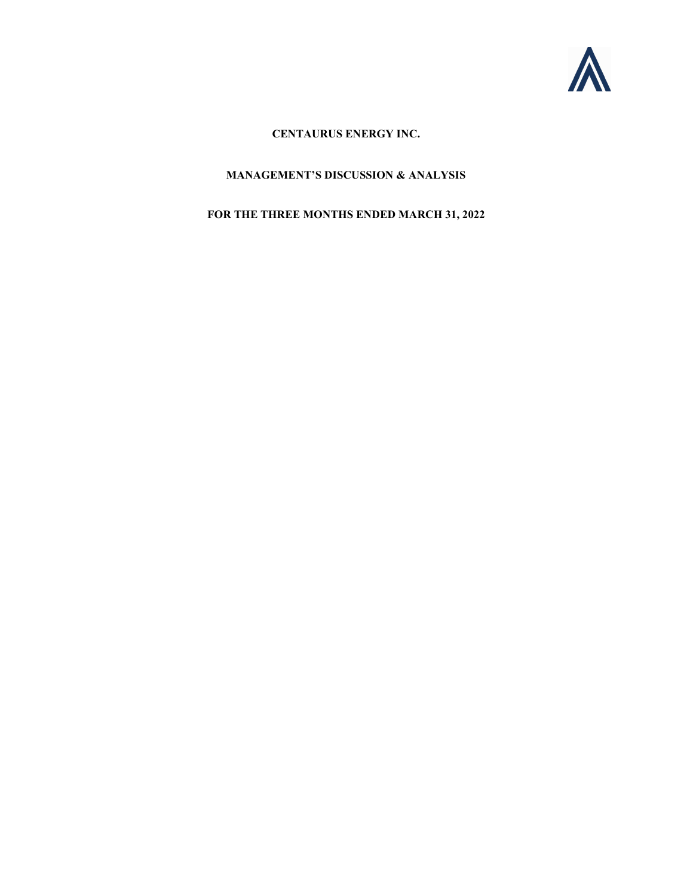

# CENTAURUS ENERGY INC.

# MANAGEMENT'S DISCUSSION & ANALYSIS

# FOR THE THREE MONTHS ENDED MARCH 31, 2022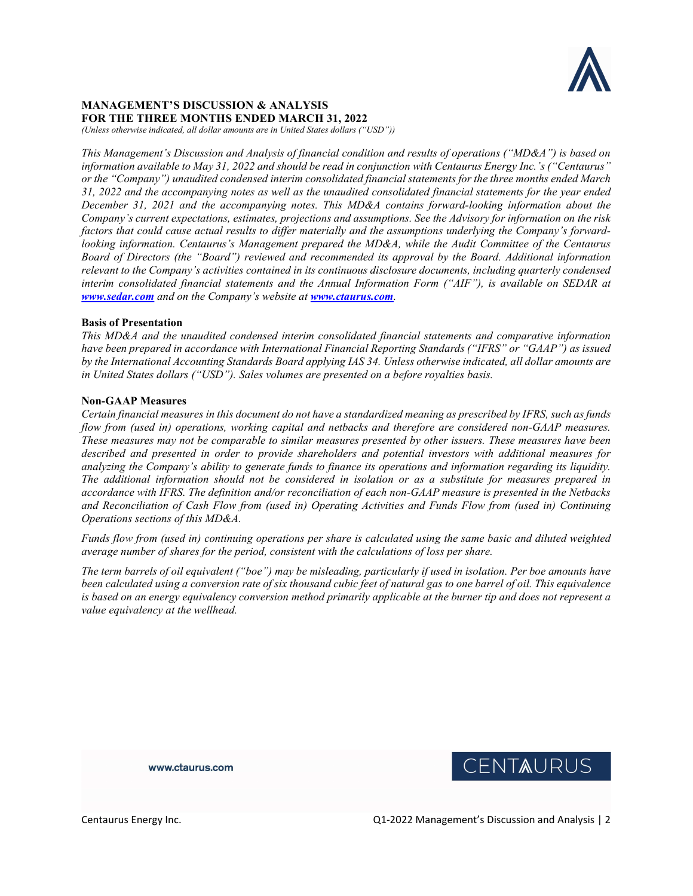

## MANAGEMENT'S DISCUSSION & ANALYSIS FOR THE THREE MONTHS ENDED MARCH 31, 2022

(Unless otherwise indicated, all dollar amounts are in United States dollars ("USD"))

This Management's Discussion and Analysis of financial condition and results of operations ("MD&A") is based on information available to May 31, 2022 and should be read in conjunction with Centaurus Energy Inc.'s ("Centaurus" or the "Company") unaudited condensed interim consolidated financial statements for the three months ended March 31, 2022 and the accompanying notes as well as the unaudited consolidated financial statements for the year ended December 31, 2021 and the accompanying notes. This MD&A contains forward-looking information about the Company's current expectations, estimates, projections and assumptions. See the Advisory for information on the risk factors that could cause actual results to differ materially and the assumptions underlying the Company's forwardlooking information. Centaurus's Management prepared the MD&A, while the Audit Committee of the Centaurus Board of Directors (the "Board") reviewed and recommended its approval by the Board. Additional information relevant to the Company's activities contained in its continuous disclosure documents, including quarterly condensed interim consolidated financial statements and the Annual Information Form ("AIF"), is available on SEDAR at www.sedar.com and on the Company's website at www.ctaurus.com.

## Basis of Presentation

This MD&A and the unaudited condensed interim consolidated financial statements and comparative information have been prepared in accordance with International Financial Reporting Standards ("IFRS" or "GAAP") as issued by the International Accounting Standards Board applying IAS 34. Unless otherwise indicated, all dollar amounts are in United States dollars ("USD"). Sales volumes are presented on a before royalties basis.

### Non-GAAP Measures

Certain financial measures in this document do not have a standardized meaning as prescribed by IFRS, such as funds flow from (used in) operations, working capital and netbacks and therefore are considered non-GAAP measures. These measures may not be comparable to similar measures presented by other issuers. These measures have been described and presented in order to provide shareholders and potential investors with additional measures for analyzing the Company's ability to generate funds to finance its operations and information regarding its liquidity. The additional information should not be considered in isolation or as a substitute for measures prepared in accordance with IFRS. The definition and/or reconciliation of each non-GAAP measure is presented in the Netbacks and Reconciliation of Cash Flow from (used in) Operating Activities and Funds Flow from (used in) Continuing Operations sections of this MD&A.

Funds flow from (used in) continuing operations per share is calculated using the same basic and diluted weighted average number of shares for the period, consistent with the calculations of loss per share.

The term barrels of oil equivalent ("boe") may be misleading, particularly if used in isolation. Per boe amounts have been calculated using a conversion rate of six thousand cubic feet of natural gas to one barrel of oil. This equivalence is based on an energy equivalency conversion method primarily applicable at the burner tip and does not represent a value equivalency at the wellhead.

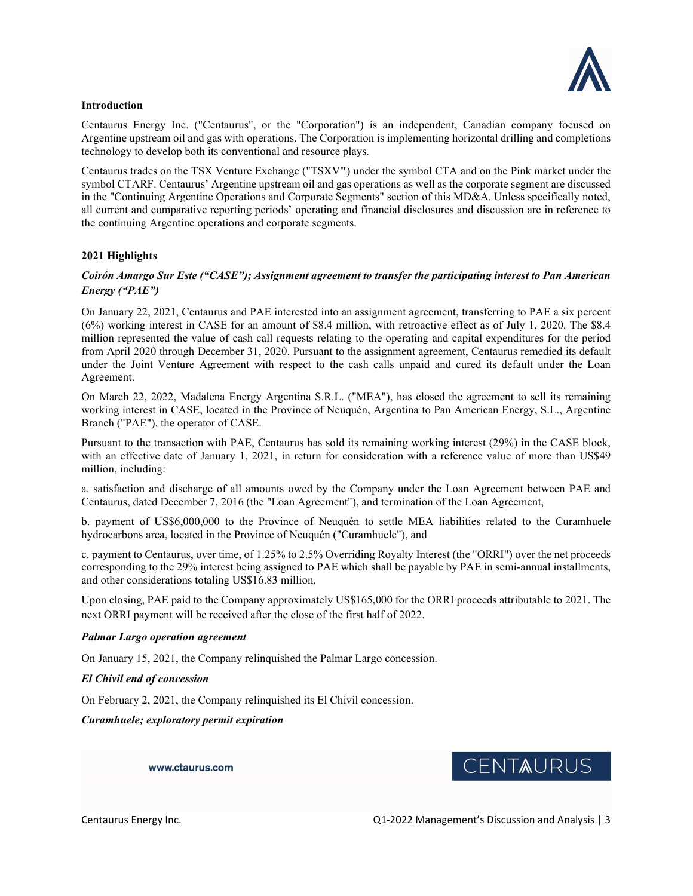

## Introduction

Centaurus Energy Inc. ("Centaurus", or the "Corporation") is an independent, Canadian company focused on Argentine upstream oil and gas with operations. The Corporation is implementing horizontal drilling and completions technology to develop both its conventional and resource plays.

Centaurus trades on the TSX Venture Exchange ("TSXV") under the symbol CTA and on the Pink market under the symbol CTARF. Centaurus' Argentine upstream oil and gas operations as well as the corporate segment are discussed in the "Continuing Argentine Operations and Corporate Segments" section of this MD&A. Unless specifically noted, all current and comparative reporting periods' operating and financial disclosures and discussion are in reference to the continuing Argentine operations and corporate segments.

## 2021 Highlights

## Coirón Amargo Sur Este ("CASE"); Assignment agreement to transfer the participating interest to Pan American Energy ("PAE")

On January 22, 2021, Centaurus and PAE interested into an assignment agreement, transferring to PAE a six percent (6%) working interest in CASE for an amount of \$8.4 million, with retroactive effect as of July 1, 2020. The \$8.4 million represented the value of cash call requests relating to the operating and capital expenditures for the period from April 2020 through December 31, 2020. Pursuant to the assignment agreement, Centaurus remedied its default under the Joint Venture Agreement with respect to the cash calls unpaid and cured its default under the Loan Agreement.

On March 22, 2022, Madalena Energy Argentina S.R.L. ("MEA"), has closed the agreement to sell its remaining working interest in CASE, located in the Province of Neuquén, Argentina to Pan American Energy, S.L., Argentine Branch ("PAE"), the operator of CASE.

Pursuant to the transaction with PAE, Centaurus has sold its remaining working interest (29%) in the CASE block, with an effective date of January 1, 2021, in return for consideration with a reference value of more than US\$49 million, including:

a. satisfaction and discharge of all amounts owed by the Company under the Loan Agreement between PAE and Centaurus, dated December 7, 2016 (the "Loan Agreement"), and termination of the Loan Agreement,

b. payment of US\$6,000,000 to the Province of Neuquén to settle MEA liabilities related to the Curamhuele hydrocarbons area, located in the Province of Neuquén ("Curamhuele"), and

c. payment to Centaurus, over time, of 1.25% to 2.5% Overriding Royalty Interest (the "ORRI") over the net proceeds corresponding to the 29% interest being assigned to PAE which shall be payable by PAE in semi-annual installments, and other considerations totaling US\$16.83 million.

Upon closing, PAE paid to the Company approximately US\$165,000 for the ORRI proceeds attributable to 2021. The next ORRI payment will be received after the close of the first half of 2022.

### Palmar Largo operation agreement

On January 15, 2021, the Company relinquished the Palmar Largo concession.

### El Chivil end of concession

On February 2, 2021, the Company relinquished its El Chivil concession.

Curamhuele; exploratory permit expiration

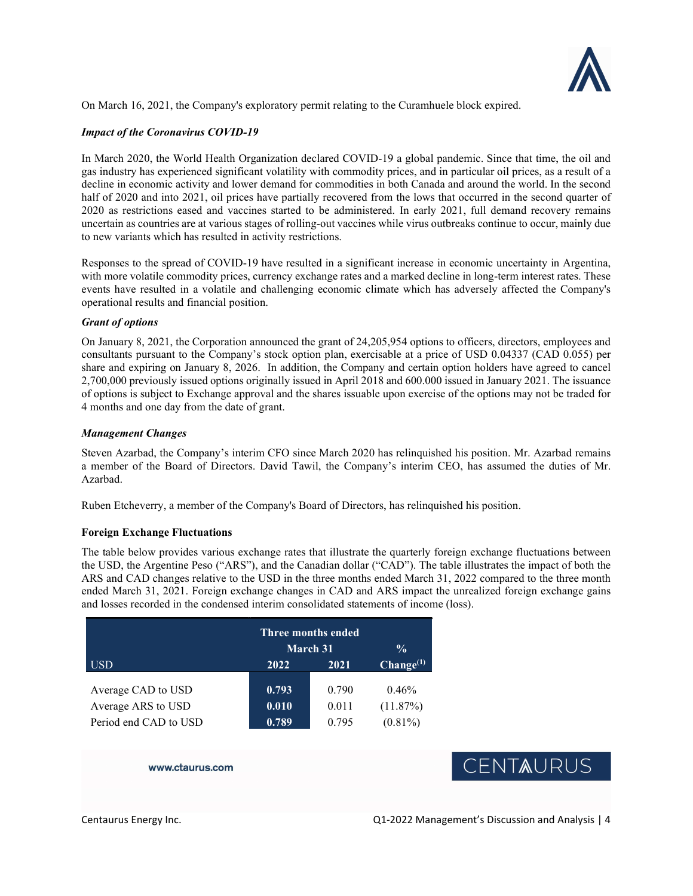

On March 16, 2021, the Company's exploratory permit relating to the Curamhuele block expired.

## Impact of the Coronavirus COVID-19

In March 2020, the World Health Organization declared COVID-19 a global pandemic. Since that time, the oil and gas industry has experienced significant volatility with commodity prices, and in particular oil prices, as a result of a decline in economic activity and lower demand for commodities in both Canada and around the world. In the second half of 2020 and into 2021, oil prices have partially recovered from the lows that occurred in the second quarter of 2020 as restrictions eased and vaccines started to be administered. In early 2021, full demand recovery remains uncertain as countries are at various stages of rolling-out vaccines while virus outbreaks continue to occur, mainly due to new variants which has resulted in activity restrictions.

Responses to the spread of COVID-19 have resulted in a significant increase in economic uncertainty in Argentina, with more volatile commodity prices, currency exchange rates and a marked decline in long-term interest rates. These events have resulted in a volatile and challenging economic climate which has adversely affected the Company's operational results and financial position.

### Grant of options

On January 8, 2021, the Corporation announced the grant of 24,205,954 options to officers, directors, employees and consultants pursuant to the Company's stock option plan, exercisable at a price of USD 0.04337 (CAD 0.055) per share and expiring on January 8, 2026. In addition, the Company and certain option holders have agreed to cancel 2,700,000 previously issued options originally issued in April 2018 and 600.000 issued in January 2021. The issuance of options is subject to Exchange approval and the shares issuable upon exercise of the options may not be traded for 4 months and one day from the date of grant.

## Management Changes

Steven Azarbad, the Company's interim CFO since March 2020 has relinquished his position. Mr. Azarbad remains a member of the Board of Directors. David Tawil, the Company's interim CEO, has assumed the duties of Mr. Azarbad.

Ruben Etcheverry, a member of the Company's Board of Directors, has relinquished his position.

## Foreign Exchange Fluctuations

The table below provides various exchange rates that illustrate the quarterly foreign exchange fluctuations between the USD, the Argentine Peso ("ARS"), and the Canadian dollar ("CAD"). The table illustrates the impact of both the ARS and CAD changes relative to the USD in the three months ended March 31, 2022 compared to the three month ended March 31, 2021. Foreign exchange changes in CAD and ARS impact the unrealized foreign exchange gains and losses recorded in the condensed interim consolidated statements of income (loss).

|                       | Three months ended<br>$\frac{0}{0}$<br><b>March 31</b> |       |                       |
|-----------------------|--------------------------------------------------------|-------|-----------------------|
| <b>USD</b>            | 2022                                                   | 2021  | Change <sup>(1)</sup> |
| Average CAD to USD    | 0.793                                                  | 0.790 | 0.46%                 |
| Average ARS to USD    | 0.010                                                  | 0.011 | (11.87%)              |
| Period end CAD to USD | 0.789                                                  | 0.795 | $(0.81\%)$            |

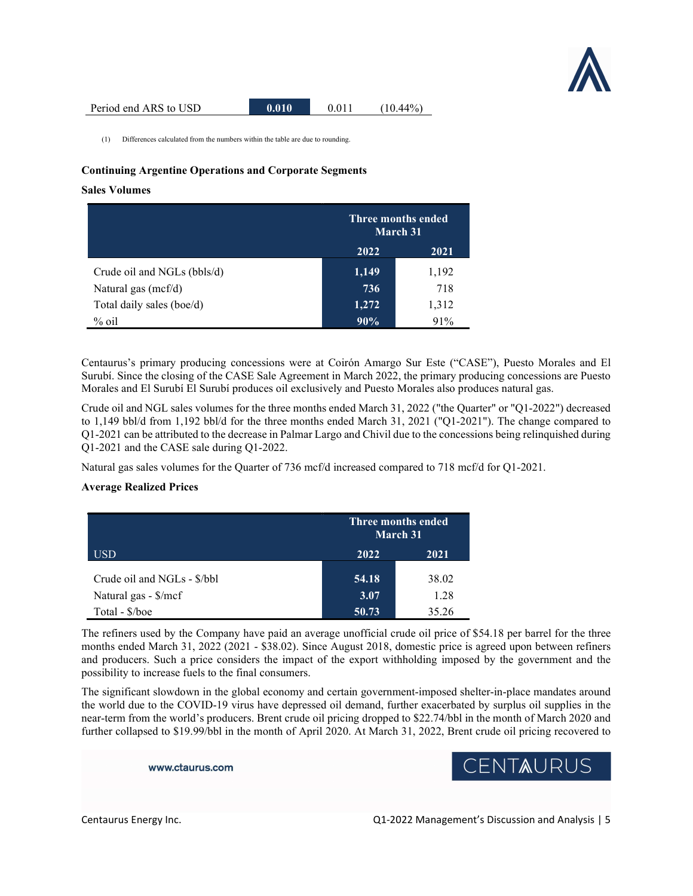

(1) Differences calculated from the numbers within the table are due to rounding.

## Continuing Argentine Operations and Corporate Segments

#### Sales Volumes

|                             |       | Three months ended<br><b>March 31</b> |  |
|-----------------------------|-------|---------------------------------------|--|
|                             | 2022  | 2021                                  |  |
| Crude oil and NGLs (bbls/d) | 1,149 | 1,192                                 |  |
| Natural gas (mcf/d)         | 736   | 718                                   |  |
| Total daily sales (boe/d)   | 1,272 | 1,312                                 |  |
| $%$ oil                     | 90%   | 91%                                   |  |

Centaurus's primary producing concessions were at Coirón Amargo Sur Este ("CASE"), Puesto Morales and El Surubí. Since the closing of the CASE Sale Agreement in March 2022, the primary producing concessions are Puesto Morales and El Surubí El Surubí produces oil exclusively and Puesto Morales also produces natural gas.

Crude oil and NGL sales volumes for the three months ended March 31, 2022 ("the Quarter" or "Q1-2022") decreased to 1,149 bbl/d from 1,192 bbl/d for the three months ended March 31, 2021 ("Q1-2021"). The change compared to Q1-2021 can be attributed to the decrease in Palmar Largo and Chivil due to the concessions being relinquished during Q1-2021 and the CASE sale during Q1-2022.

Natural gas sales volumes for the Quarter of 736 mcf/d increased compared to 718 mcf/d for Q1-2021.

## Average Realized Prices

|                             |       | <b>Three months ended</b><br><b>March 31</b> |  |
|-----------------------------|-------|----------------------------------------------|--|
| USD                         | 2022  | 2021                                         |  |
| Crude oil and NGLs - \$/bbl | 54.18 | 38.02                                        |  |
| Natural gas - \$/mcf        | 3.07  | 1.28                                         |  |
| Total - \$/boe              | 50.73 | 35.26                                        |  |

The refiners used by the Company have paid an average unofficial crude oil price of \$54.18 per barrel for the three months ended March 31, 2022 (2021 - \$38.02). Since August 2018, domestic price is agreed upon between refiners and producers. Such a price considers the impact of the export withholding imposed by the government and the possibility to increase fuels to the final consumers.

The significant slowdown in the global economy and certain government-imposed shelter-in-place mandates around the world due to the COVID-19 virus have depressed oil demand, further exacerbated by surplus oil supplies in the near-term from the world's producers. Brent crude oil pricing dropped to \$22.74/bbl in the month of March 2020 and further collapsed to \$19.99/bbl in the month of April 2020. At March 31, 2022, Brent crude oil pricing recovered to

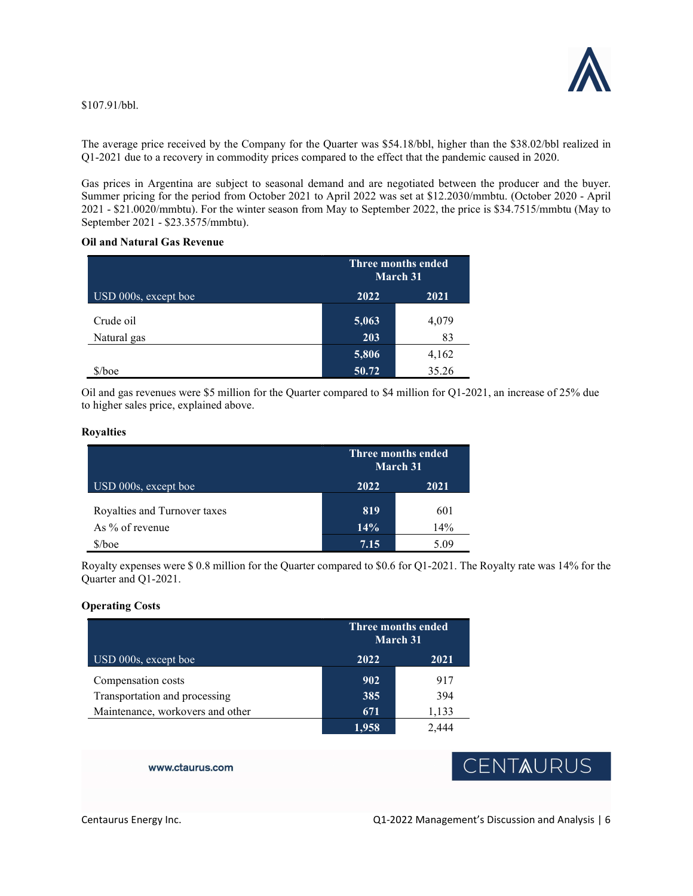

\$107.91/bbl.

The average price received by the Company for the Quarter was \$54.18/bbl, higher than the \$38.02/bbl realized in Q1-2021 due to a recovery in commodity prices compared to the effect that the pandemic caused in 2020.

Gas prices in Argentina are subject to seasonal demand and are negotiated between the producer and the buyer. Summer pricing for the period from October 2021 to April 2022 was set at \$12.2030/mmbtu. (October 2020 - April 2021 - \$21.0020/mmbtu). For the winter season from May to September 2022, the price is \$34.7515/mmbtu (May to September 2021 - \$23.3575/mmbtu).

## Oil and Natural Gas Revenue

|                      |       | Three months ended<br>March 31 |  |
|----------------------|-------|--------------------------------|--|
| USD 000s, except boe | 2022  | 2021                           |  |
| Crude oil            | 5,063 | 4,079                          |  |
| Natural gas          | 203   | 83                             |  |
|                      | 5,806 | 4,162                          |  |
| $$/$ boe             | 50.72 | 35.26                          |  |

Oil and gas revenues were \$5 million for the Quarter compared to \$4 million for Q1-2021, an increase of 25% due to higher sales price, explained above.

### Royalties

|                              | Three months ended<br>March 31 |      |
|------------------------------|--------------------------------|------|
| USD 000s, except boe         | 2022                           | 2021 |
| Royalties and Turnover taxes | 819                            | 601  |
| As $\%$ of revenue           | 14%                            | 14%  |
| $$/$ hoe                     | 7.15                           | 5.09 |

Royalty expenses were \$ 0.8 million for the Quarter compared to \$0.6 for Q1-2021. The Royalty rate was 14% for the Quarter and Q1-2021.

## Operating Costs

|                                  |       | <b>Three months ended</b><br>March 31 |  |
|----------------------------------|-------|---------------------------------------|--|
| $USD$ 000s, except boe           | 2022  | 2021                                  |  |
| Compensation costs               | 902   | 917                                   |  |
| Transportation and processing    | 385   | 394                                   |  |
| Maintenance, workovers and other | 671   | 1,133                                 |  |
|                                  | 1.958 |                                       |  |

www.ctaurus.com

# CENTAURUS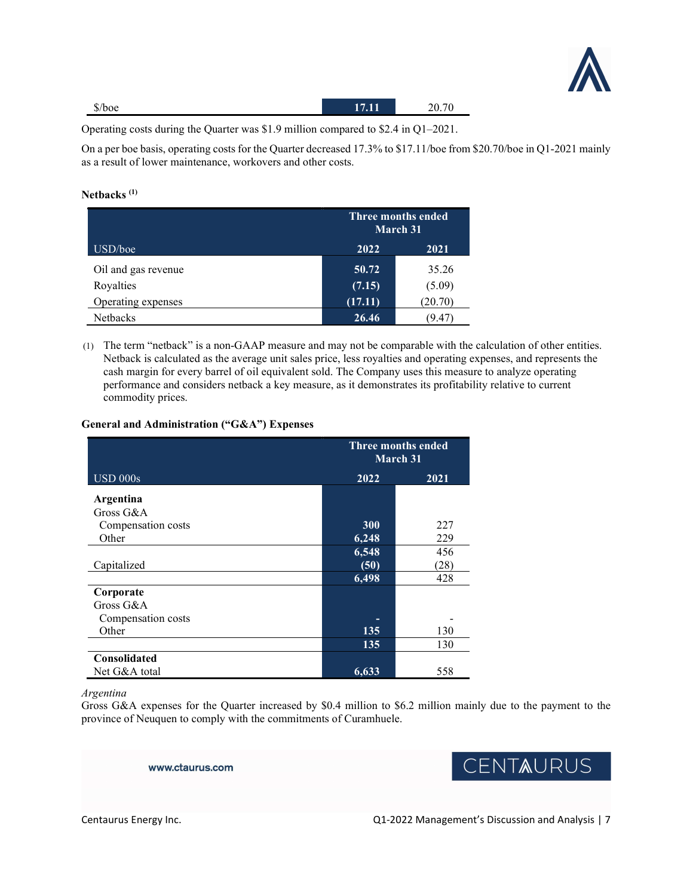

| $\bigoplus$ /*<br>$\delta$ /boe | Пſ<br><u>.</u> | 20.7c |
|---------------------------------|----------------|-------|
|                                 |                |       |

Operating costs during the Quarter was \$1.9 million compared to \$2.4 in Q1–2021.

On a per boe basis, operating costs for the Quarter decreased 17.3% to \$17.11/boe from \$20.70/boe in Q1-2021 mainly as a result of lower maintenance, workovers and other costs.

## Netbacks<sup>(1)</sup>

|                     |         | Three months ended<br>March 31 |  |
|---------------------|---------|--------------------------------|--|
| USD/boe             | 2022    | 2021                           |  |
| Oil and gas revenue | 50.72   | 35.26                          |  |
| Royalties           | (7.15)  | (5.09)                         |  |
| Operating expenses  | (17.11) | (20.70)                        |  |
| <b>Netbacks</b>     | 26.46   | 9.4.                           |  |

(1) The term "netback" is a non-GAAP measure and may not be comparable with the calculation of other entities. Netback is calculated as the average unit sales price, less royalties and operating expenses, and represents the cash margin for every barrel of oil equivalent sold. The Company uses this measure to analyze operating performance and considers netback a key measure, as it demonstrates its profitability relative to current commodity prices.

## General and Administration ("G&A") Expenses

|                    | Three months ended<br><b>March 31</b> |      |
|--------------------|---------------------------------------|------|
| <b>USD 000s</b>    | 2022                                  | 2021 |
| Argentina          |                                       |      |
| Gross G&A          |                                       |      |
| Compensation costs | 300                                   | 227  |
| Other              | 6,248                                 | 229  |
|                    | 6,548                                 | 456  |
| Capitalized        | (50)                                  | (28) |
|                    | 6,498                                 | 428  |
| Corporate          |                                       |      |
| Gross G&A          |                                       |      |
| Compensation costs |                                       |      |
| Other              | 135                                   | 130  |
|                    | 135                                   | 130  |
| Consolidated       |                                       |      |
| Net G&A total      | 6,633                                 | 558  |

Argentina

Gross G&A expenses for the Quarter increased by \$0.4 million to \$6.2 million mainly due to the payment to the province of Neuquen to comply with the commitments of Curamhuele.

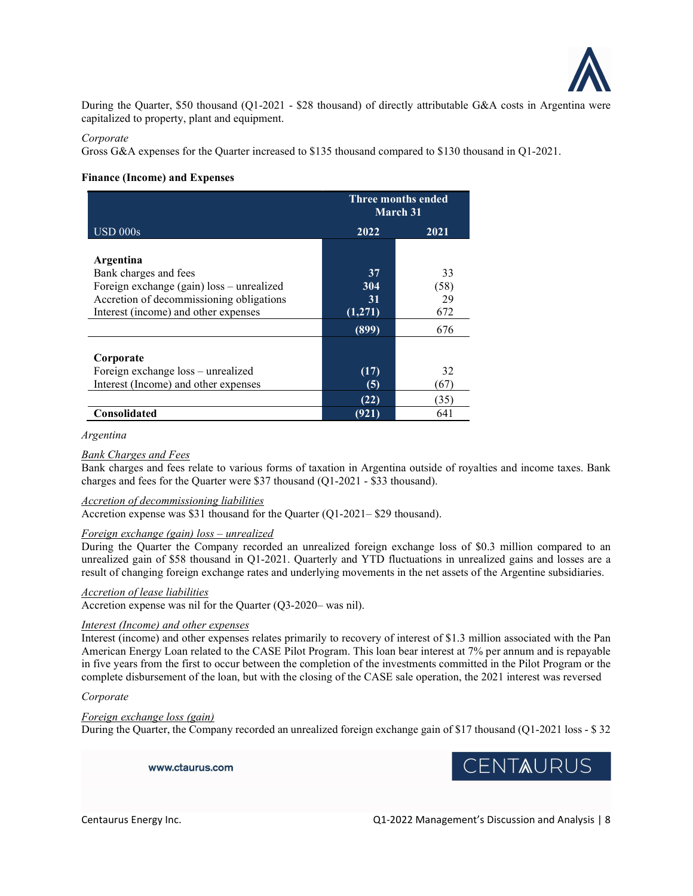

During the Quarter, \$50 thousand (Q1-2021 - \$28 thousand) of directly attributable G&A costs in Argentina were capitalized to property, plant and equipment.

## Corporate

Gross G&A expenses for the Quarter increased to \$135 thousand compared to \$130 thousand in Q1-2021.

## Finance (Income) and Expenses

|                                           | Three months ended<br><b>March 31</b> |      |
|-------------------------------------------|---------------------------------------|------|
| <b>USD 000s</b>                           | 2022                                  | 2021 |
|                                           |                                       |      |
| Argentina                                 |                                       |      |
| Bank charges and fees                     | 37                                    | 33   |
| Foreign exchange (gain) loss – unrealized | 304                                   | (58) |
| Accretion of decommissioning obligations  | 31                                    | 29   |
| Interest (income) and other expenses      | (1,271)                               | 672  |
|                                           | (899)                                 | 676  |
|                                           |                                       |      |
| Corporate                                 |                                       |      |
| Foreign exchange loss - unrealized        | (17)                                  | 32   |
| Interest (Income) and other expenses      | (5)                                   | (67) |
|                                           | (22)                                  | (35) |
| <b>Consolidated</b>                       | (921)                                 | 641  |

#### Argentina

## **Bank Charges and Fees**

Bank charges and fees relate to various forms of taxation in Argentina outside of royalties and income taxes. Bank charges and fees for the Quarter were \$37 thousand (Q1-2021 - \$33 thousand).

## Accretion of decommissioning liabilities

Accretion expense was \$31 thousand for the Quarter (Q1-2021– \$29 thousand).

### Foreign exchange (gain) loss – unrealized

During the Quarter the Company recorded an unrealized foreign exchange loss of \$0.3 million compared to an unrealized gain of \$58 thousand in Q1-2021. Quarterly and YTD fluctuations in unrealized gains and losses are a result of changing foreign exchange rates and underlying movements in the net assets of the Argentine subsidiaries.

## Accretion of lease liabilities

Accretion expense was nil for the Quarter (Q3-2020– was nil).

## Interest (Income) and other expenses

Interest (income) and other expenses relates primarily to recovery of interest of \$1.3 million associated with the Pan American Energy Loan related to the CASE Pilot Program. This loan bear interest at 7% per annum and is repayable in five years from the first to occur between the completion of the investments committed in the Pilot Program or the complete disbursement of the loan, but with the closing of the CASE sale operation, the 2021 interest was reversed

## Corporate

#### Foreign exchange loss (gain)

During the Quarter, the Company recorded an unrealized foreign exchange gain of \$17 thousand (Q1-2021 loss - \$ 32

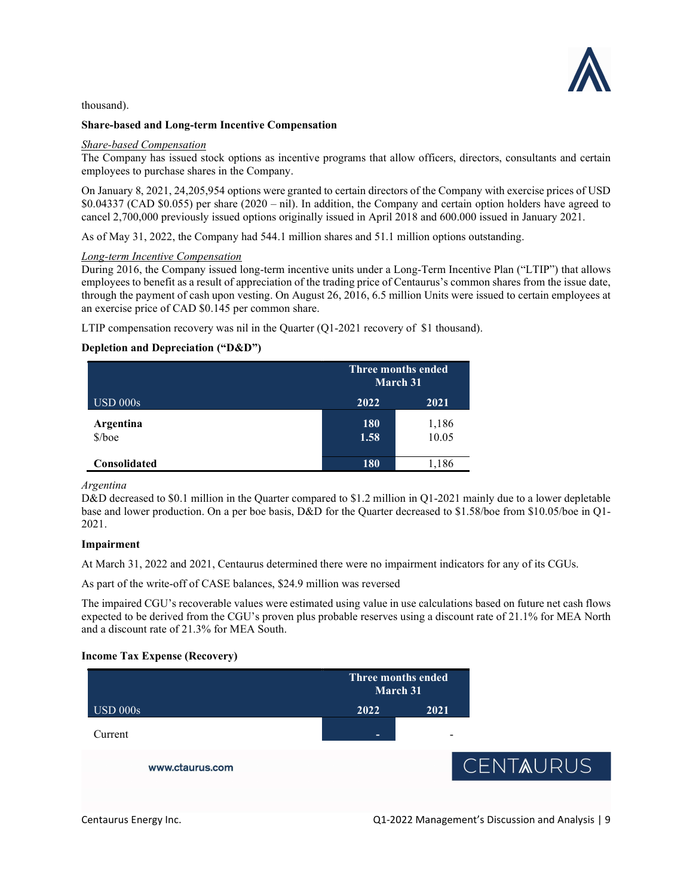

thousand).

### Share-based and Long-term Incentive Compensation

### Share-based Compensation

The Company has issued stock options as incentive programs that allow officers, directors, consultants and certain employees to purchase shares in the Company.

On January 8, 2021, 24,205,954 options were granted to certain directors of the Company with exercise prices of USD \$0.04337 (CAD \$0.055) per share (2020 – nil). In addition, the Company and certain option holders have agreed to cancel 2,700,000 previously issued options originally issued in April 2018 and 600.000 issued in January 2021.

As of May 31, 2022, the Company had 544.1 million shares and 51.1 million options outstanding.

## Long-term Incentive Compensation

During 2016, the Company issued long-term incentive units under a Long-Term Incentive Plan ("LTIP") that allows employees to benefit as a result of appreciation of the trading price of Centaurus's common shares from the issue date, through the payment of cash upon vesting. On August 26, 2016, 6.5 million Units were issued to certain employees at an exercise price of CAD \$0.145 per common share.

LTIP compensation recovery was nil in the Quarter (Q1-2021 recovery of \$1 thousand).

## Depletion and Depreciation ("D&D")

|                          | Three months ended<br>March 31 |                |
|--------------------------|--------------------------------|----------------|
| $\text{USD }000\text{s}$ | 2022                           | 2021           |
| Argentina<br>$$/$ boe    | 180<br>1.58                    | 1,186<br>10.05 |
| <b>Consolidated</b>      | <b>180</b>                     | l,186          |

Argentina

D&D decreased to \$0.1 million in the Quarter compared to \$1.2 million in Q1-2021 mainly due to a lower depletable base and lower production. On a per boe basis, D&D for the Quarter decreased to \$1.58/boe from \$10.05/boe in Q1- 2021.

### Impairment

At March 31, 2022 and 2021, Centaurus determined there were no impairment indicators for any of its CGUs.

As part of the write-off of CASE balances, \$24.9 million was reversed

The impaired CGU's recoverable values were estimated using value in use calculations based on future net cash flows expected to be derived from the CGU's proven plus probable reserves using a discount rate of 21.1% for MEA North and a discount rate of 21.3% for MEA South.

### Income Tax Expense (Recovery)

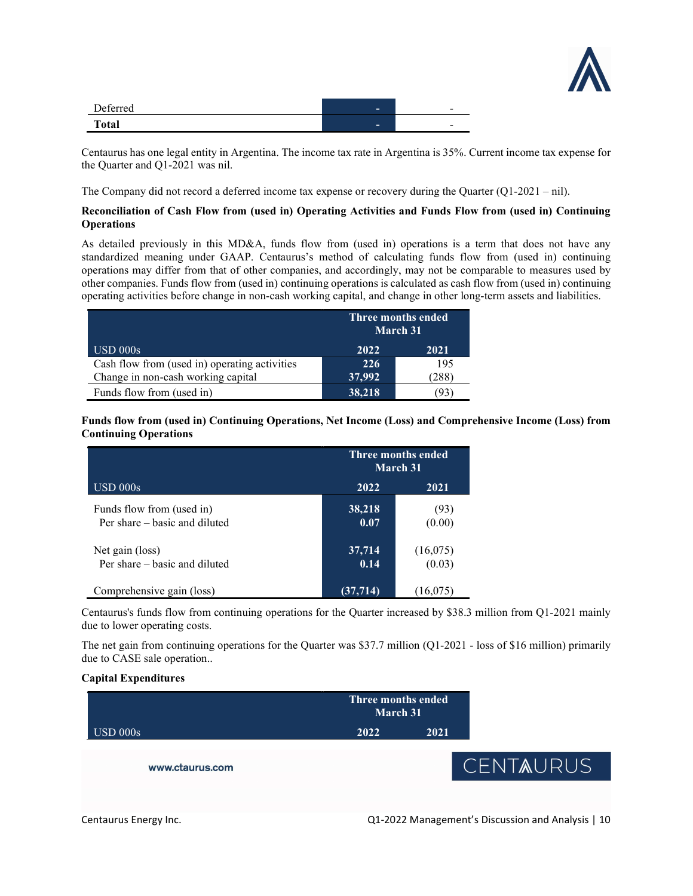

| Deferred     | $\overline{\phantom{a}}$ | - |
|--------------|--------------------------|---|
| <b>Total</b> | $\overline{\phantom{a}}$ | - |

Centaurus has one legal entity in Argentina. The income tax rate in Argentina is 35%. Current income tax expense for the Quarter and Q1-2021 was nil.

The Company did not record a deferred income tax expense or recovery during the Quarter (Q1-2021 – nil).

## Reconciliation of Cash Flow from (used in) Operating Activities and Funds Flow from (used in) Continuing **Operations**

As detailed previously in this MD&A, funds flow from (used in) operations is a term that does not have any standardized meaning under GAAP. Centaurus's method of calculating funds flow from (used in) continuing operations may differ from that of other companies, and accordingly, may not be comparable to measures used by other companies. Funds flow from (used in) continuing operations is calculated as cash flow from (used in) continuing operating activities before change in non-cash working capital, and change in other long-term assets and liabilities.

|                                               | Three months ended<br>March 31 |      |  |
|-----------------------------------------------|--------------------------------|------|--|
| $\text{USD }000\text{s}$                      | 2022                           | 2021 |  |
| Cash flow from (used in) operating activities | 226                            | 195  |  |
| Change in non-cash working capital            | 37,992                         | 288  |  |
| Funds flow from (used in)                     | 38,218                         | 93   |  |

Funds flow from (used in) Continuing Operations, Net Income (Loss) and Comprehensive Income (Loss) from Continuing Operations

|                                                            | Three months ended<br>March 31 |                    |
|------------------------------------------------------------|--------------------------------|--------------------|
| $\mathrm{USD}\ 000\mathrm{s}$                              | 2022                           | 2021               |
| Funds flow from (used in)<br>Per share – basic and diluted | 38,218<br>0.07                 | (93)<br>(0.00)     |
| Net gain (loss)<br>Per share – basic and diluted           | 37,714<br>0.14                 | (16,075)<br>(0.03) |
| Comprehensive gain (loss)                                  | (37,714)                       | (16,075)           |

Centaurus's funds flow from continuing operations for the Quarter increased by \$38.3 million from Q1-2021 mainly due to lower operating costs.

The net gain from continuing operations for the Quarter was \$37.7 million (Q1-2021 - loss of \$16 million) primarily due to CASE sale operation..

## Capital Expenditures

|                 | Three months ended<br>March 31 |      |                  |
|-----------------|--------------------------------|------|------------------|
| <b>USD 000s</b> | 2022                           | 2021 |                  |
| www.ctaurus.com |                                |      | <b>CENTAURUS</b> |
|                 |                                |      |                  |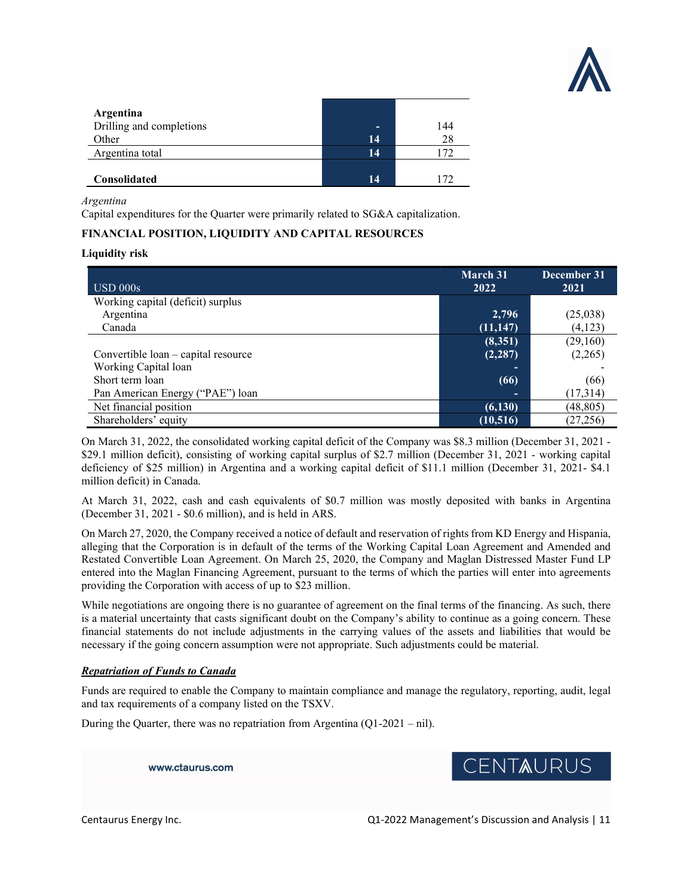

| Argentina                |    |     |
|--------------------------|----|-----|
| Drilling and completions | -  | 144 |
| Other                    | 14 | 28  |
| Argentina total          | 14 |     |
|                          |    |     |
| <b>Consolidated</b>      | 14 |     |

Argentina

Capital expenditures for the Quarter were primarily related to SG&A capitalization.

## FINANCIAL POSITION, LIQUIDITY AND CAPITAL RESOURCES

### Liquidity risk

| USD 000s                            | <b>March 31</b><br>2022 | December 31<br>2021 |
|-------------------------------------|-------------------------|---------------------|
| Working capital (deficit) surplus   |                         |                     |
| Argentina                           | 2,796                   | (25,038)            |
| Canada                              | (11, 147)               | (4,123)             |
|                                     | (8,351)                 | (29,160)            |
| Convertible loan – capital resource | (2, 287)                | (2,265)             |
| Working Capital loan                | -                       |                     |
| Short term loan                     | (66)                    | (66)                |
| Pan American Energy ("PAE") loan    |                         | (17, 314)           |
| Net financial position              | (6, 130)                | (48, 805)           |
| Shareholders' equity                | (10, 516)               | (27, 256)           |

On March 31, 2022, the consolidated working capital deficit of the Company was \$8.3 million (December 31, 2021 - \$29.1 million deficit), consisting of working capital surplus of \$2.7 million (December 31, 2021 - working capital deficiency of \$25 million) in Argentina and a working capital deficit of \$11.1 million (December 31, 2021- \$4.1 million deficit) in Canada.

At March 31, 2022, cash and cash equivalents of \$0.7 million was mostly deposited with banks in Argentina (December 31, 2021 - \$0.6 million), and is held in ARS.

On March 27, 2020, the Company received a notice of default and reservation of rights from KD Energy and Hispania, alleging that the Corporation is in default of the terms of the Working Capital Loan Agreement and Amended and Restated Convertible Loan Agreement. On March 25, 2020, the Company and Maglan Distressed Master Fund LP entered into the Maglan Financing Agreement, pursuant to the terms of which the parties will enter into agreements providing the Corporation with access of up to \$23 million.

While negotiations are ongoing there is no guarantee of agreement on the final terms of the financing. As such, there is a material uncertainty that casts significant doubt on the Company's ability to continue as a going concern. These financial statements do not include adjustments in the carrying values of the assets and liabilities that would be necessary if the going concern assumption were not appropriate. Such adjustments could be material.

### Repatriation of Funds to Canada

Funds are required to enable the Company to maintain compliance and manage the regulatory, reporting, audit, legal and tax requirements of a company listed on the TSXV.

During the Quarter, there was no repatriation from Argentina (Q1-2021 – nil).

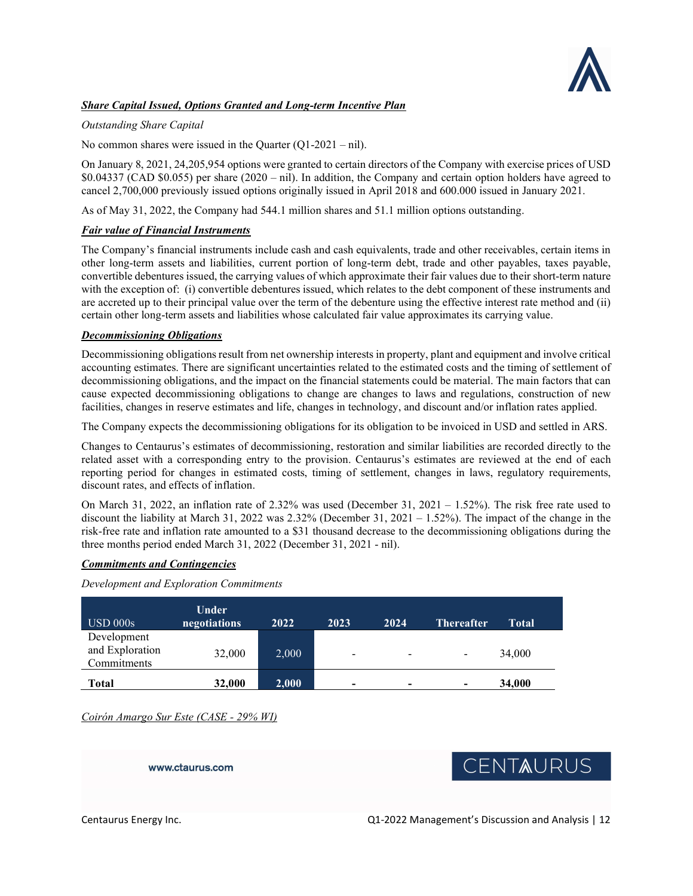

## Share Capital Issued, Options Granted and Long-term Incentive Plan

## Outstanding Share Capital

No common shares were issued in the Quarter  $(Q1-2021 - nil)$ .

On January 8, 2021, 24,205,954 options were granted to certain directors of the Company with exercise prices of USD \$0.04337 (CAD \$0.055) per share (2020 – nil). In addition, the Company and certain option holders have agreed to cancel 2,700,000 previously issued options originally issued in April 2018 and 600.000 issued in January 2021.

As of May 31, 2022, the Company had 544.1 million shares and 51.1 million options outstanding.

## **Fair value of Financial Instruments**

The Company's financial instruments include cash and cash equivalents, trade and other receivables, certain items in other long-term assets and liabilities, current portion of long-term debt, trade and other payables, taxes payable, convertible debentures issued, the carrying values of which approximate their fair values due to their short-term nature with the exception of: (i) convertible debentures issued, which relates to the debt component of these instruments and are accreted up to their principal value over the term of the debenture using the effective interest rate method and (ii) certain other long-term assets and liabilities whose calculated fair value approximates its carrying value.

### Decommissioning Obligations

Decommissioning obligations result from net ownership interests in property, plant and equipment and involve critical accounting estimates. There are significant uncertainties related to the estimated costs and the timing of settlement of decommissioning obligations, and the impact on the financial statements could be material. The main factors that can cause expected decommissioning obligations to change are changes to laws and regulations, construction of new facilities, changes in reserve estimates and life, changes in technology, and discount and/or inflation rates applied.

The Company expects the decommissioning obligations for its obligation to be invoiced in USD and settled in ARS.

Changes to Centaurus's estimates of decommissioning, restoration and similar liabilities are recorded directly to the related asset with a corresponding entry to the provision. Centaurus's estimates are reviewed at the end of each reporting period for changes in estimated costs, timing of settlement, changes in laws, regulatory requirements, discount rates, and effects of inflation.

On March 31, 2022, an inflation rate of 2.32% was used (December 31, 2021 – 1.52%). The risk free rate used to discount the liability at March 31, 2022 was 2.32% (December 31, 2021 – 1.52%). The impact of the change in the risk-free rate and inflation rate amounted to a \$31 thousand decrease to the decommissioning obligations during the three months period ended March 31, 2022 (December 31, 2021 - nil).

### Commitments and Contingencies

Development and Exploration Commitments

| $\text{USD }000\text{s}$                      | <b>Under</b><br>negotiations | 2022  | 2023                     | 2024                     | <b>Thereafter</b> | Total  |
|-----------------------------------------------|------------------------------|-------|--------------------------|--------------------------|-------------------|--------|
| Development<br>and Exploration<br>Commitments | 32,000                       | 2,000 | $\overline{\phantom{a}}$ | -                        | -                 | 34,000 |
| <b>Total</b>                                  | 32,000                       | 2,000 | $\blacksquare$           | $\overline{\phantom{0}}$ | ۰                 | 34,000 |

Coirón Amargo Sur Este (CASE - 29% WI)

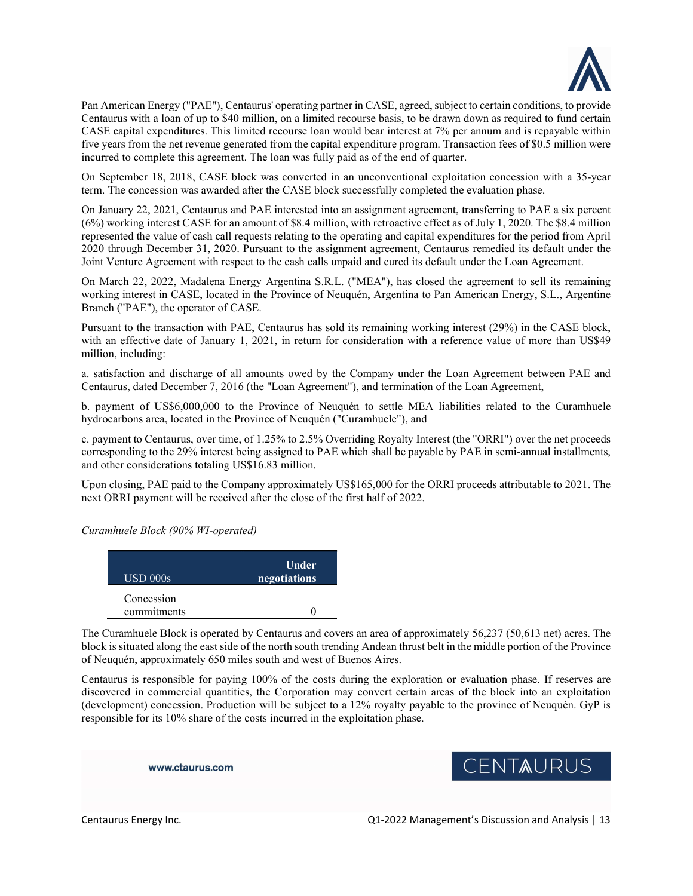

Pan American Energy ("PAE"), Centaurus' operating partner in CASE, agreed, subject to certain conditions, to provide Centaurus with a loan of up to \$40 million, on a limited recourse basis, to be drawn down as required to fund certain CASE capital expenditures. This limited recourse loan would bear interest at 7% per annum and is repayable within five years from the net revenue generated from the capital expenditure program. Transaction fees of \$0.5 million were incurred to complete this agreement. The loan was fully paid as of the end of quarter.

On September 18, 2018, CASE block was converted in an unconventional exploitation concession with a 35-year term. The concession was awarded after the CASE block successfully completed the evaluation phase.

On January 22, 2021, Centaurus and PAE interested into an assignment agreement, transferring to PAE a six percent (6%) working interest CASE for an amount of \$8.4 million, with retroactive effect as of July 1, 2020. The \$8.4 million represented the value of cash call requests relating to the operating and capital expenditures for the period from April 2020 through December 31, 2020. Pursuant to the assignment agreement, Centaurus remedied its default under the Joint Venture Agreement with respect to the cash calls unpaid and cured its default under the Loan Agreement.

On March 22, 2022, Madalena Energy Argentina S.R.L. ("MEA"), has closed the agreement to sell its remaining working interest in CASE, located in the Province of Neuquén, Argentina to Pan American Energy, S.L., Argentine Branch ("PAE"), the operator of CASE.

Pursuant to the transaction with PAE, Centaurus has sold its remaining working interest (29%) in the CASE block, with an effective date of January 1, 2021, in return for consideration with a reference value of more than US\$49 million, including:

a. satisfaction and discharge of all amounts owed by the Company under the Loan Agreement between PAE and Centaurus, dated December 7, 2016 (the "Loan Agreement"), and termination of the Loan Agreement,

b. payment of US\$6,000,000 to the Province of Neuquén to settle MEA liabilities related to the Curamhuele hydrocarbons area, located in the Province of Neuquén ("Curamhuele"), and

c. payment to Centaurus, over time, of 1.25% to 2.5% Overriding Royalty Interest (the "ORRI") over the net proceeds corresponding to the 29% interest being assigned to PAE which shall be payable by PAE in semi-annual installments, and other considerations totaling US\$16.83 million.

Upon closing, PAE paid to the Company approximately US\$165,000 for the ORRI proceeds attributable to 2021. The next ORRI payment will be received after the close of the first half of 2022.

Curamhuele Block (90% WI-operated)

| $\text{USD }000\text{s}$  | <b>Under</b><br>negotiations |
|---------------------------|------------------------------|
| Concession<br>commitments |                              |

The Curamhuele Block is operated by Centaurus and covers an area of approximately 56,237 (50,613 net) acres. The block is situated along the east side of the north south trending Andean thrust belt in the middle portion of the Province of Neuquén, approximately 650 miles south and west of Buenos Aires.

Centaurus is responsible for paying 100% of the costs during the exploration or evaluation phase. If reserves are discovered in commercial quantities, the Corporation may convert certain areas of the block into an exploitation (development) concession. Production will be subject to a 12% royalty payable to the province of Neuquén. GyP is responsible for its 10% share of the costs incurred in the exploitation phase.

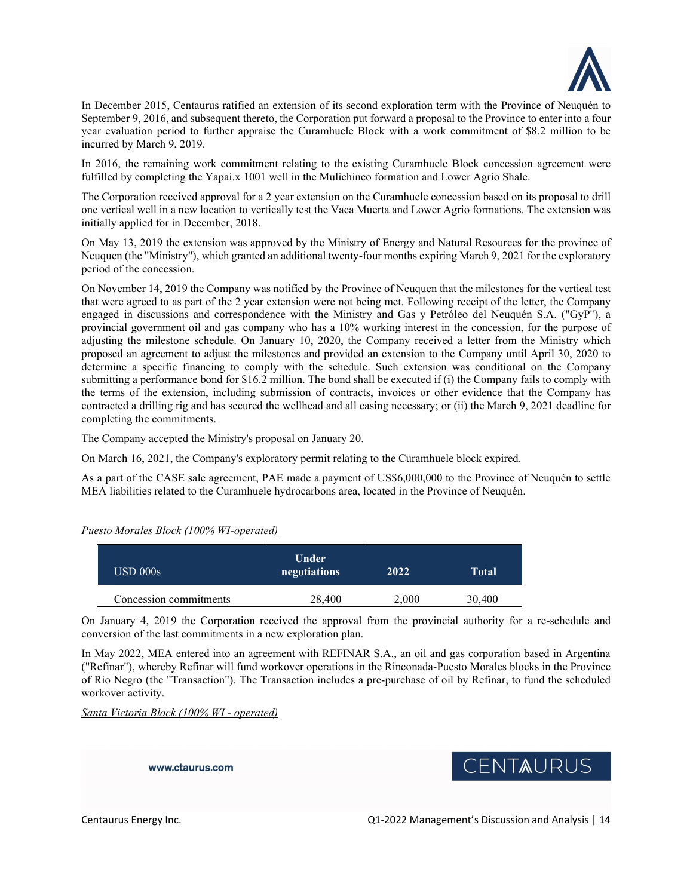

In December 2015, Centaurus ratified an extension of its second exploration term with the Province of Neuquén to September 9, 2016, and subsequent thereto, the Corporation put forward a proposal to the Province to enter into a four year evaluation period to further appraise the Curamhuele Block with a work commitment of \$8.2 million to be incurred by March 9, 2019.

In 2016, the remaining work commitment relating to the existing Curamhuele Block concession agreement were fulfilled by completing the Yapai.x 1001 well in the Mulichinco formation and Lower Agrio Shale.

The Corporation received approval for a 2 year extension on the Curamhuele concession based on its proposal to drill one vertical well in a new location to vertically test the Vaca Muerta and Lower Agrio formations. The extension was initially applied for in December, 2018.

On May 13, 2019 the extension was approved by the Ministry of Energy and Natural Resources for the province of Neuquen (the "Ministry"), which granted an additional twenty-four months expiring March 9, 2021 for the exploratory period of the concession.

On November 14, 2019 the Company was notified by the Province of Neuquen that the milestones for the vertical test that were agreed to as part of the 2 year extension were not being met. Following receipt of the letter, the Company engaged in discussions and correspondence with the Ministry and Gas y Petróleo del Neuquén S.A. ("GyP"), a provincial government oil and gas company who has a 10% working interest in the concession, for the purpose of adjusting the milestone schedule. On January 10, 2020, the Company received a letter from the Ministry which proposed an agreement to adjust the milestones and provided an extension to the Company until April 30, 2020 to determine a specific financing to comply with the schedule. Such extension was conditional on the Company submitting a performance bond for \$16.2 million. The bond shall be executed if (i) the Company fails to comply with the terms of the extension, including submission of contracts, invoices or other evidence that the Company has contracted a drilling rig and has secured the wellhead and all casing necessary; or (ii) the March 9, 2021 deadline for completing the commitments.

The Company accepted the Ministry's proposal on January 20.

On March 16, 2021, the Company's exploratory permit relating to the Curamhuele block expired.

As a part of the CASE sale agreement, PAE made a payment of US\$6,000,000 to the Province of Neuquén to settle MEA liabilities related to the Curamhuele hydrocarbons area, located in the Province of Neuquén.

### Puesto Morales Block (100% WI-operated)

| $\text{USD }000\text{s}$ | Under<br>negotiations | 2022  | Total  |
|--------------------------|-----------------------|-------|--------|
| Concession commitments   | 28,400                | 2,000 | 30,400 |

On January 4, 2019 the Corporation received the approval from the provincial authority for a re-schedule and conversion of the last commitments in a new exploration plan.

In May 2022, MEA entered into an agreement with REFINAR S.A., an oil and gas corporation based in Argentina ("Refinar"), whereby Refinar will fund workover operations in the Rinconada-Puesto Morales blocks in the Province of Rio Negro (the "Transaction"). The Transaction includes a pre-purchase of oil by Refinar, to fund the scheduled workover activity.

Santa Victoria Block (100% WI - operated)

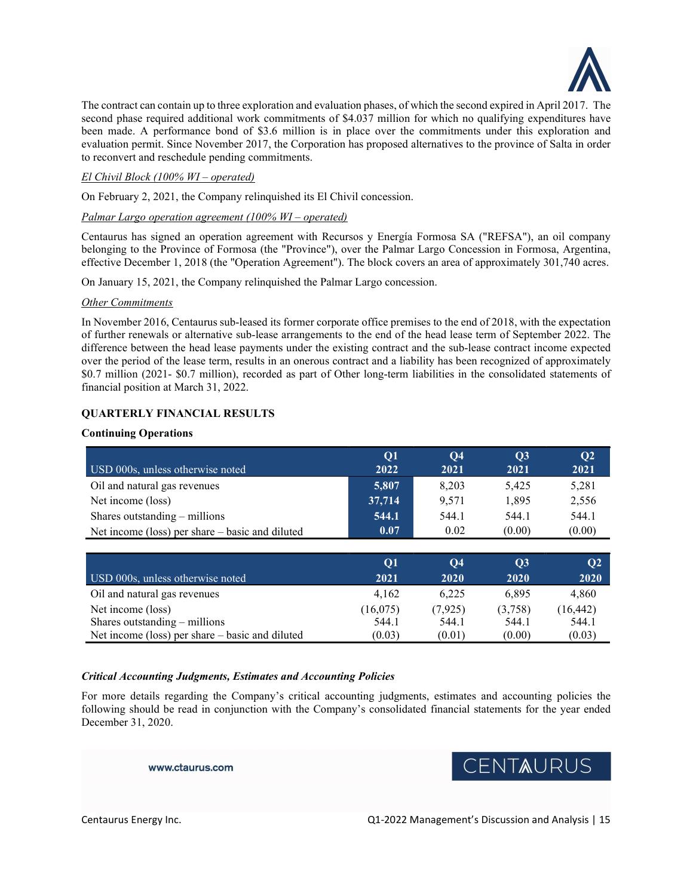

The contract can contain up to three exploration and evaluation phases, of which the second expired in April 2017. The second phase required additional work commitments of \$4.037 million for which no qualifying expenditures have been made. A performance bond of \$3.6 million is in place over the commitments under this exploration and evaluation permit. Since November 2017, the Corporation has proposed alternatives to the province of Salta in order to reconvert and reschedule pending commitments.

## El Chivil Block (100% WI – operated)

On February 2, 2021, the Company relinquished its El Chivil concession.

## Palmar Largo operation agreement (100% WI – operated)

Centaurus has signed an operation agreement with Recursos y Energía Formosa SA ("REFSA"), an oil company belonging to the Province of Formosa (the "Province"), over the Palmar Largo Concession in Formosa, Argentina, effective December 1, 2018 (the "Operation Agreement"). The block covers an area of approximately 301,740 acres.

On January 15, 2021, the Company relinquished the Palmar Largo concession.

### Other Commitments

In November 2016, Centaurus sub-leased its former corporate office premises to the end of 2018, with the expectation of further renewals or alternative sub-lease arrangements to the end of the head lease term of September 2022. The difference between the head lease payments under the existing contract and the sub-lease contract income expected over the period of the lease term, results in an onerous contract and a liability has been recognized of approximately \$0.7 million (2021- \$0.7 million), recorded as part of Other long-term liabilities in the consolidated statements of financial position at March 31, 2022.

## QUARTERLY FINANCIAL RESULTS

## Continuing Operations

|                                                 | <b>O1</b> | $\overline{O4}$ | $\overline{\text{O3}}$ | Q <sub>2</sub> |
|-------------------------------------------------|-----------|-----------------|------------------------|----------------|
| USD 000s, unless otherwise noted                | 2022      | 2021            | 2021                   | 2021           |
| Oil and natural gas revenues                    | 5,807     | 8,203           | 5.425                  | 5,281          |
| Net income (loss)                               | 37.714    | 9.571           | 1.895                  | 2,556          |
| Shares outstanding $-$ millions                 | 544.1     | 544.1           | 544.1                  | 544.1          |
| Net income (loss) per share – basic and diluted | 0.07      | 0.02            | (0.00)                 | (0.00)         |

| USD 000s, unless otherwise noted                | O1<br>2021 | O4<br>2020 | $\overline{\text{O}}$ 3<br>2020 | Q <sub>2</sub><br>2020 |
|-------------------------------------------------|------------|------------|---------------------------------|------------------------|
| Oil and natural gas revenues                    | 4.162      | 6.225      | 6.895                           | 4.860                  |
| Net income (loss)                               | (16,075)   | (7, 925)   | (3,758)                         | (16, 442)              |
| Shares outstanding $-$ millions                 | 544.1      | 544.1      | 544.1                           | 544.1                  |
| Net income (loss) per share – basic and diluted | (0.03)     | (0.01)     | (0.00)                          | (0.03)                 |

### Critical Accounting Judgments, Estimates and Accounting Policies

For more details regarding the Company's critical accounting judgments, estimates and accounting policies the following should be read in conjunction with the Company's consolidated financial statements for the year ended December 31, 2020.

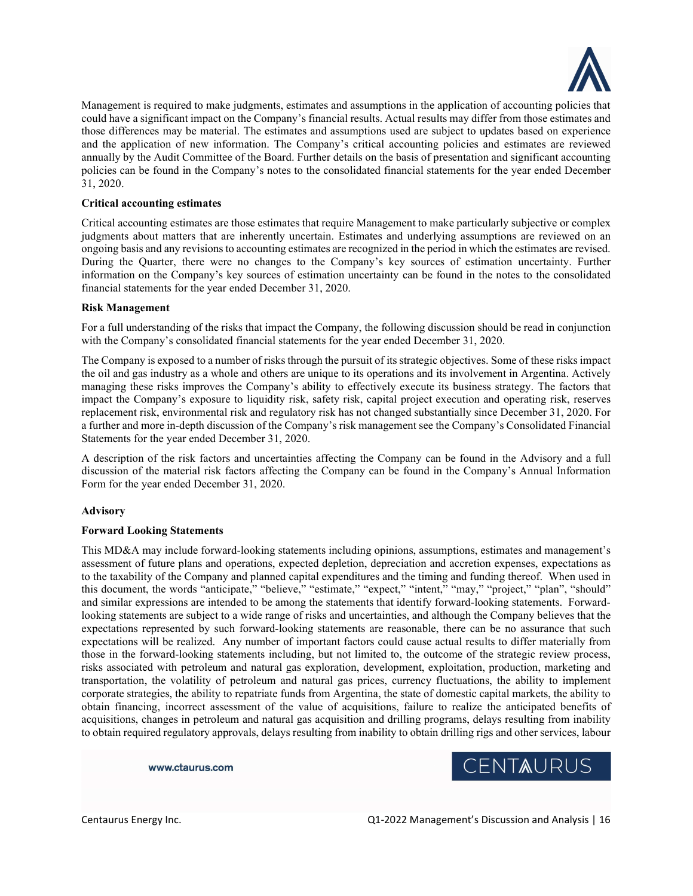

Management is required to make judgments, estimates and assumptions in the application of accounting policies that could have a significant impact on the Company's financial results. Actual results may differ from those estimates and those differences may be material. The estimates and assumptions used are subject to updates based on experience and the application of new information. The Company's critical accounting policies and estimates are reviewed annually by the Audit Committee of the Board. Further details on the basis of presentation and significant accounting policies can be found in the Company's notes to the consolidated financial statements for the year ended December 31, 2020.

## Critical accounting estimates

Critical accounting estimates are those estimates that require Management to make particularly subjective or complex judgments about matters that are inherently uncertain. Estimates and underlying assumptions are reviewed on an ongoing basis and any revisions to accounting estimates are recognized in the period in which the estimates are revised. During the Quarter, there were no changes to the Company's key sources of estimation uncertainty. Further information on the Company's key sources of estimation uncertainty can be found in the notes to the consolidated financial statements for the year ended December 31, 2020.

### Risk Management

For a full understanding of the risks that impact the Company, the following discussion should be read in conjunction with the Company's consolidated financial statements for the year ended December 31, 2020.

The Company is exposed to a number of risks through the pursuit of its strategic objectives. Some of these risks impact the oil and gas industry as a whole and others are unique to its operations and its involvement in Argentina. Actively managing these risks improves the Company's ability to effectively execute its business strategy. The factors that impact the Company's exposure to liquidity risk, safety risk, capital project execution and operating risk, reserves replacement risk, environmental risk and regulatory risk has not changed substantially since December 31, 2020. For a further and more in-depth discussion of the Company's risk management see the Company's Consolidated Financial Statements for the year ended December 31, 2020.

A description of the risk factors and uncertainties affecting the Company can be found in the Advisory and a full discussion of the material risk factors affecting the Company can be found in the Company's Annual Information Form for the year ended December 31, 2020.

### Advisory

### Forward Looking Statements

This MD&A may include forward-looking statements including opinions, assumptions, estimates and management's assessment of future plans and operations, expected depletion, depreciation and accretion expenses, expectations as to the taxability of the Company and planned capital expenditures and the timing and funding thereof. When used in this document, the words "anticipate," "believe," "estimate," "expect," "intent," "may," "project," "plan", "should" and similar expressions are intended to be among the statements that identify forward-looking statements. Forwardlooking statements are subject to a wide range of risks and uncertainties, and although the Company believes that the expectations represented by such forward-looking statements are reasonable, there can be no assurance that such expectations will be realized. Any number of important factors could cause actual results to differ materially from those in the forward-looking statements including, but not limited to, the outcome of the strategic review process, risks associated with petroleum and natural gas exploration, development, exploitation, production, marketing and transportation, the volatility of petroleum and natural gas prices, currency fluctuations, the ability to implement corporate strategies, the ability to repatriate funds from Argentina, the state of domestic capital markets, the ability to obtain financing, incorrect assessment of the value of acquisitions, failure to realize the anticipated benefits of acquisitions, changes in petroleum and natural gas acquisition and drilling programs, delays resulting from inability to obtain required regulatory approvals, delays resulting from inability to obtain drilling rigs and other services, labour

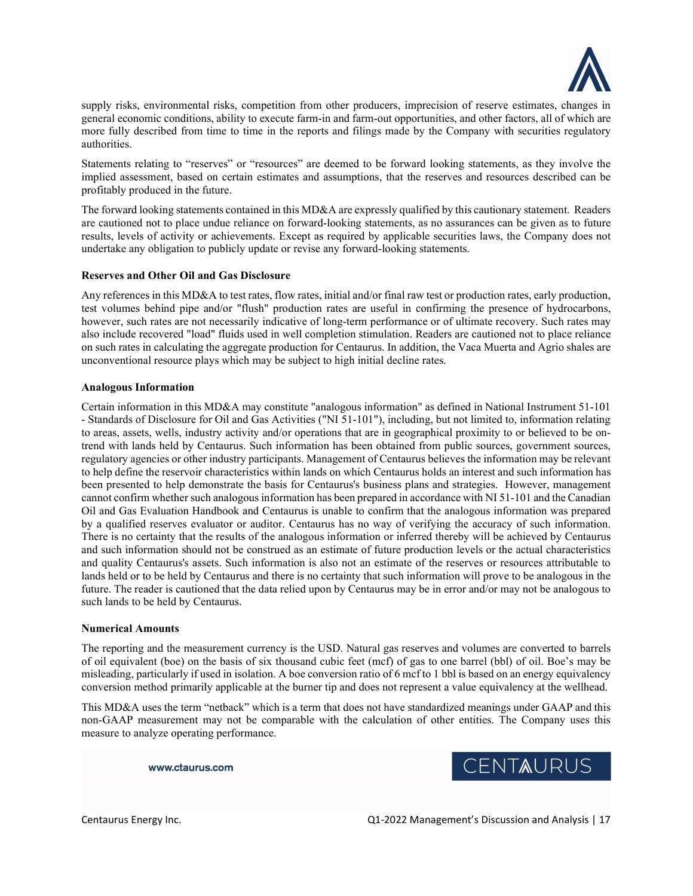

supply risks, environmental risks, competition from other producers, imprecision of reserve estimates, changes in general economic conditions, ability to execute farm-in and farm-out opportunities, and other factors, all of which are more fully described from time to time in the reports and filings made by the Company with securities regulatory authorities.

Statements relating to "reserves" or "resources" are deemed to be forward looking statements, as they involve the implied assessment, based on certain estimates and assumptions, that the reserves and resources described can be profitably produced in the future.

The forward looking statements contained in this MD&A are expressly qualified by this cautionary statement. Readers are cautioned not to place undue reliance on forward-looking statements, as no assurances can be given as to future results, levels of activity or achievements. Except as required by applicable securities laws, the Company does not undertake any obligation to publicly update or revise any forward-looking statements.

### Reserves and Other Oil and Gas Disclosure

Any references in this MD&A to test rates, flow rates, initial and/or final raw test or production rates, early production, test volumes behind pipe and/or "flush" production rates are useful in confirming the presence of hydrocarbons, however, such rates are not necessarily indicative of long-term performance or of ultimate recovery. Such rates may also include recovered "load" fluids used in well completion stimulation. Readers are cautioned not to place reliance on such rates in calculating the aggregate production for Centaurus. In addition, the Vaca Muerta and Agrio shales are unconventional resource plays which may be subject to high initial decline rates.

### Analogous Information

Certain information in this MD&A may constitute "analogous information" as defined in National Instrument 51-101 - Standards of Disclosure for Oil and Gas Activities ("NI 51-101"), including, but not limited to, information relating to areas, assets, wells, industry activity and/or operations that are in geographical proximity to or believed to be ontrend with lands held by Centaurus. Such information has been obtained from public sources, government sources, regulatory agencies or other industry participants. Management of Centaurus believes the information may be relevant to help define the reservoir characteristics within lands on which Centaurus holds an interest and such information has been presented to help demonstrate the basis for Centaurus's business plans and strategies. However, management cannot confirm whether such analogous information has been prepared in accordance with NI 51-101 and the Canadian Oil and Gas Evaluation Handbook and Centaurus is unable to confirm that the analogous information was prepared by a qualified reserves evaluator or auditor. Centaurus has no way of verifying the accuracy of such information. There is no certainty that the results of the analogous information or inferred thereby will be achieved by Centaurus and such information should not be construed as an estimate of future production levels or the actual characteristics and quality Centaurus's assets. Such information is also not an estimate of the reserves or resources attributable to lands held or to be held by Centaurus and there is no certainty that such information will prove to be analogous in the future. The reader is cautioned that the data relied upon by Centaurus may be in error and/or may not be analogous to such lands to be held by Centaurus.

### Numerical Amounts

The reporting and the measurement currency is the USD. Natural gas reserves and volumes are converted to barrels of oil equivalent (boe) on the basis of six thousand cubic feet (mcf) of gas to one barrel (bbl) of oil. Boe's may be misleading, particularly if used in isolation. A boe conversion ratio of 6 mcf to 1 bbl is based on an energy equivalency conversion method primarily applicable at the burner tip and does not represent a value equivalency at the wellhead.

This MD&A uses the term "netback" which is a term that does not have standardized meanings under GAAP and this non-GAAP measurement may not be comparable with the calculation of other entities. The Company uses this measure to analyze operating performance.